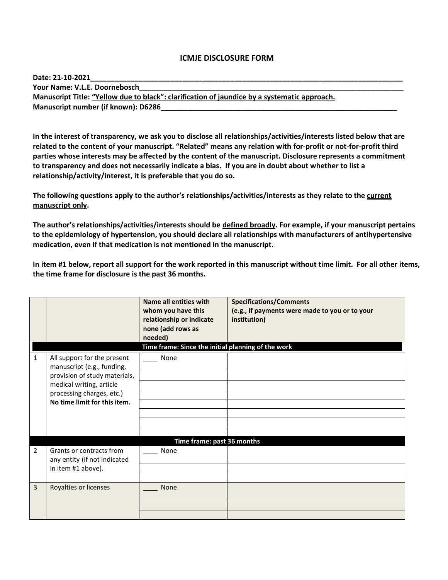## **ICMJE DISCLOSURE FORM**

| Date: 21-10-2021                                                                             |
|----------------------------------------------------------------------------------------------|
| Your Name: V.L.E. Doornebosch                                                                |
| Manuscript Title: "Yellow due to black": clarification of jaundice by a systematic approach. |
| Manuscript number (if known): D6286                                                          |

**In the interest of transparency, we ask you to disclose all relationships/activities/interests listed below that are related to the content of your manuscript. "Related" means any relation with for-profit or not-for-profit third parties whose interests may be affected by the content of the manuscript. Disclosure represents a commitment to transparency and does not necessarily indicate a bias. If you are in doubt about whether to list a relationship/activity/interest, it is preferable that you do so.** 

**The following questions apply to the author's relationships/activities/interests as they relate to the current manuscript only.**

**The author's relationships/activities/interests should be defined broadly. For example, if your manuscript pertains to the epidemiology of hypertension, you should declare all relationships with manufacturers of antihypertensive medication, even if that medication is not mentioned in the manuscript.** 

**In item #1 below, report all support for the work reported in this manuscript without time limit. For all other items, the time frame for disclosure is the past 36 months.** 

|   |                                                                                                                                                                                     | Name all entities with<br>whom you have this<br>relationship or indicate<br>none (add rows as<br>needed)<br>Time frame: Since the initial planning of the work | <b>Specifications/Comments</b><br>(e.g., if payments were made to you or to your<br>institution) |  |
|---|-------------------------------------------------------------------------------------------------------------------------------------------------------------------------------------|----------------------------------------------------------------------------------------------------------------------------------------------------------------|--------------------------------------------------------------------------------------------------|--|
| 1 | All support for the present<br>manuscript (e.g., funding,<br>provision of study materials,<br>medical writing, article<br>processing charges, etc.)<br>No time limit for this item. | None                                                                                                                                                           |                                                                                                  |  |
|   | Time frame: past 36 months                                                                                                                                                          |                                                                                                                                                                |                                                                                                  |  |
| 2 | Grants or contracts from<br>any entity (if not indicated<br>in item #1 above).                                                                                                      | None                                                                                                                                                           |                                                                                                  |  |
| 3 | Royalties or licenses                                                                                                                                                               | <b>None</b>                                                                                                                                                    |                                                                                                  |  |